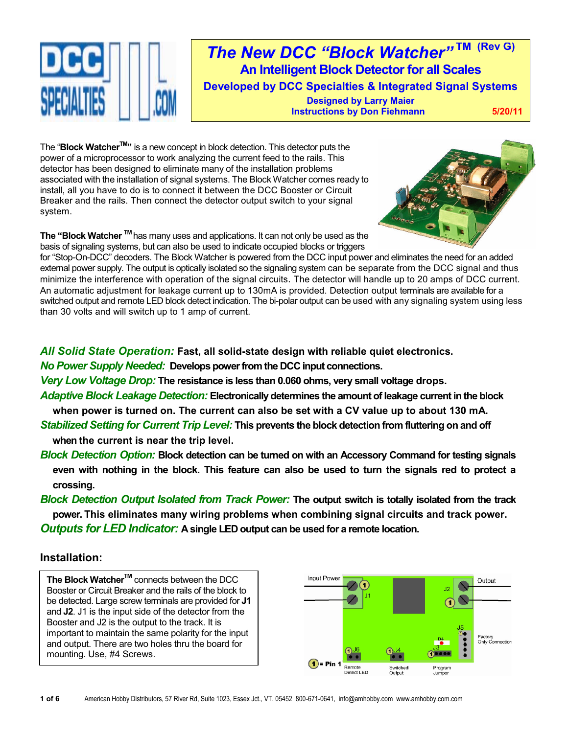

*The New DCC "Block Watcher"* **TM (Rev G) An Intelligent Block Detector for all Scales Developed by DCC Specialties & Integrated Signal Systems Designed by Larry Maier Instructions by Don Fiehmann 5/20/11** 

The "**Block Watcher™**" is a new concept in block detection. This detector puts the power of a microprocessor to work analyzing the current feed to the rails. This detector has been designed to eliminate many of the installation problems associated with the installation of signal systems. The Block Watcher comes ready to install, all you have to do is to connect it between the DCC Booster or Circuit Breaker and the rails. Then connect the detector output switch to your signal system.



**The "Block Watcher TM** has many uses and applications. It can not only be used as the basis of signaling systems, but can also be used to indicate occupied blocks or triggers

for "Stop-On-DCC" decoders. The Block Watcher is powered from the DCC input power and eliminates the need for an added external power supply. The output is optically isolated so the signaling system can be separate from the DCC signal and thus minimize the interference with operation of the signal circuits. The detector will handle up to 20 amps of DCC current. An automatic adjustment for leakage current up to 130mA is provided. Detection output terminals are available for a switched output and remote LED block detect indication. The bi-polar output can be used with any signaling system using less than 30 volts and will switch up to 1 amp of current.

*All Solid State Operation:* **Fast, all solid-state design with reliable quiet electronics.**

*No Power Supply Needed:* **Develops power from the DCC input connections.**

*Very Low Voltage Drop:* **The resistance is less than 0.060 ohms, very small voltage drops.**

- *Adaptive Block Leakage Detection:* **Electronically determines the amount of leakage current in the block when power is turned on. The current can also be set with a CV value up to about 130 mA.**
- *Stabilized Setting for Current Trip Level:* **This prevents the block detection from fluttering on and off when the current is near the trip level.**
- *Block Detection Option:* **Block detection can be turned on with an Accessory Command for testing signals even with nothing in the block. This feature can also be used to turn the signals red to protect a crossing.**

*Block Detection Output Isolated from Track Power:* **The output switch is totally isolated from the track power. This eliminates many wiring problems when combining signal circuits and track power.** *Outputs for LED Indicator:* **A single LED output can be used for a remote location.**

# **Installation:**

**The Block Watcher™** connects between the DCC Booster or Circuit Breaker and the rails of the block to be detected. Large screw terminals are provided for **J1** and **J2**. J1 is the input side of the detector from the Booster and J2 is the output to the track. It is important to maintain the same polarity for the input and output. There are two holes thru the board for mounting. Use, #4 Screws.

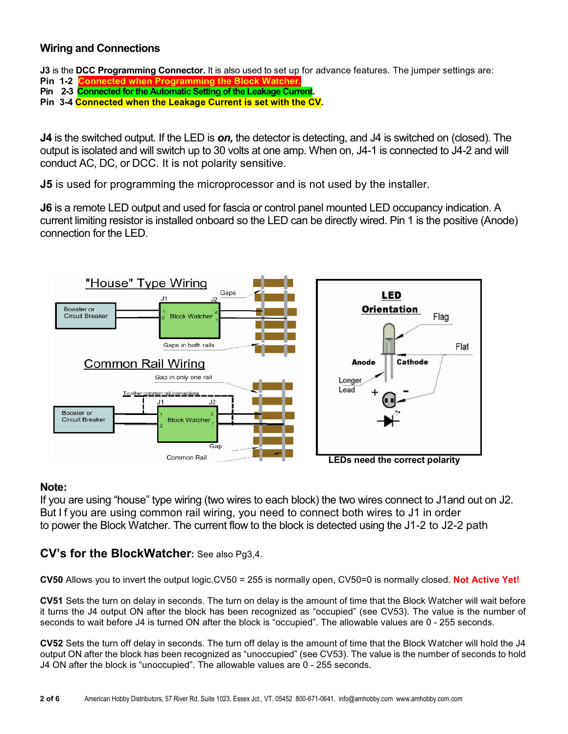# **Wiring and Connections**

**J3** is the **DCC Programming Connector.** It is also used to set up for advance features. The jumper settings are:

- **Pin 1-2**
- **Pin 2-3 Connected for the Automatic Setting of the Leakage Current.**

**Pin 3-4 Connected when the Leakage Current is set with the CV.**

**J4** is the switched output. If the LED is *on,* the detector is detecting, and J4 is switched on (closed). The output is isolated and will switch up to 30 volts at one amp. When on, J4-1 is connected to J4-2 and will conduct AC, DC, or DCC. It is not polarity sensitive.

**J5** is used for programming the microprocessor and is not used by the installer.

**J6** is a remote LED output and used for fascia or control panel mounted LED occupancy indication. A current limiting resistor is installed onboard so the LED can be directly wired. Pin 1 is the positive (Anode) connection for the LED.



# **Note:**

If you are using "house" type wiring (two wires to each block) the two wires connect to J1and out on J2. But I f you are using common rail wiring, you need to connect both wires to J1 in order to power the Block Watcher. The current flow to the block is detected using the J1-2 to J2-2 path

# **CV's for the BlockWatcher:** See also Pg3,4.

**CV50** Allows you to invert the output logic.CV50 = 255 is normally open, CV50=0 is normally closed**. Not Active Yet!**

**CV51** Sets the turn on delay in seconds. The turn on delay is the amount of time that the Block Watcher will wait before it turns the J4 output ON after the block has been recognized as "occupied" (see CV53). The value is the number of seconds to wait before J4 is turned ON after the block is "occupied". The allowable values are 0 - 255 seconds.

**CV52** Sets the turn off delay in seconds. The turn off delay is the amount of time that the Block Watcher will hold the J4 output ON after the block has been recognized as "unoccupied" (see CV53). The value is the number of seconds to hold J4 ON after the block is "unoccupied". The allowable values are 0 - 255 seconds.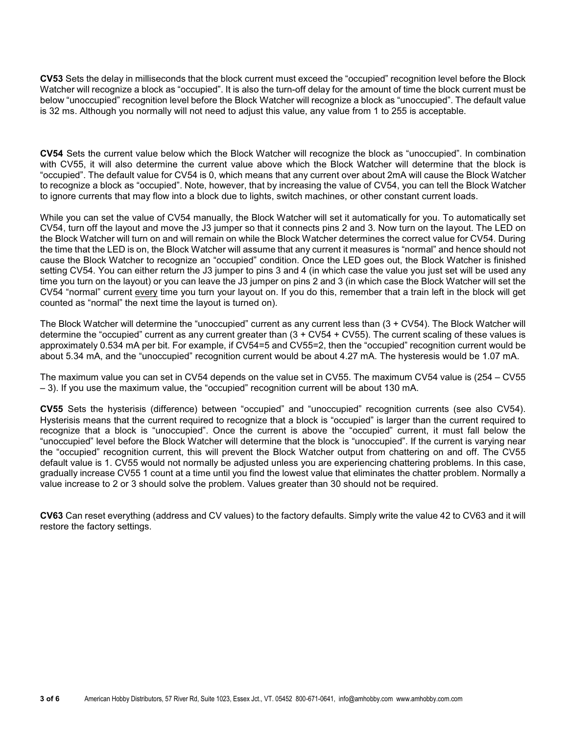**CV53** Sets the delay in milliseconds that the block current must exceed the "occupied" recognition level before the Block Watcher will recognize a block as "occupied". It is also the turn-off delay for the amount of time the block current must be below "unoccupied" recognition level before the Block Watcher will recognize a block as "unoccupied". The default value is 32 ms. Although you normally will not need to adjust this value, any value from 1 to 255 is acceptable.

**CV54** Sets the current value below which the Block Watcher will recognize the block as "unoccupied". In combination with CV55, it will also determine the current value above which the Block Watcher will determine that the block is "occupied". The default value for CV54 is 0, which means that any current over about 2mA will cause the Block Watcher to recognize a block as "occupied". Note, however, that by increasing the value of CV54, you can tell the Block Watcher to ignore currents that may flow into a block due to lights, switch machines, or other constant current loads.

While you can set the value of CV54 manually, the Block Watcher will set it automatically for you. To automatically set CV54, turn off the layout and move the J3 jumper so that it connects pins 2 and 3. Now turn on the layout. The LED on the Block Watcher will turn on and will remain on while the Block Watcher determines the correct value for CV54. During the time that the LED is on, the Block Watcher will assume that any current it measures is "normal" and hence should not cause the Block Watcher to recognize an "occupied" condition. Once the LED goes out, the Block Watcher is finished setting CV54. You can either return the J3 jumper to pins 3 and 4 (in which case the value you just set will be used any time you turn on the layout) or you can leave the J3 jumper on pins 2 and 3 (in which case the Block Watcher will set the CV54 "normal" current every time you turn your layout on. If you do this, remember that a train left in the block will get counted as "normal" the next time the layout is turned on).

The Block Watcher will determine the "unoccupied" current as any current less than (3 + CV54). The Block Watcher will determine the "occupied" current as any current greater than (3 + CV54 + CV55). The current scaling of these values is approximately 0.534 mA per bit. For example, if CV54=5 and CV55=2, then the "occupied" recognition current would be about 5.34 mA, and the "unoccupied" recognition current would be about 4.27 mA. The hysteresis would be 1.07 mA.

The maximum value you can set in CV54 depends on the value set in CV55. The maximum CV54 value is (254 – CV55 – 3). If you use the maximum value, the "occupied" recognition current will be about 130 mA.

**CV55** Sets the hysterisis (difference) between "occupied" and "unoccupied" recognition currents (see also CV54). Hysterisis means that the current required to recognize that a block is "occupied" is larger than the current required to recognize that a block is "unoccupied". Once the current is above the "occupied" current, it must fall below the "unoccupied" level before the Block Watcher will determine that the block is "unoccupied". If the current is varying near the "occupied" recognition current, this will prevent the Block Watcher output from chattering on and off. The CV55 default value is 1. CV55 would not normally be adjusted unless you are experiencing chattering problems. In this case, gradually increase CV55 1 count at a time until you find the lowest value that eliminates the chatter problem. Normally a value increase to 2 or 3 should solve the problem. Values greater than 30 should not be required.

**CV63** Can reset everything (address and CV values) to the factory defaults. Simply write the value 42 to CV63 and it will restore the factory settings.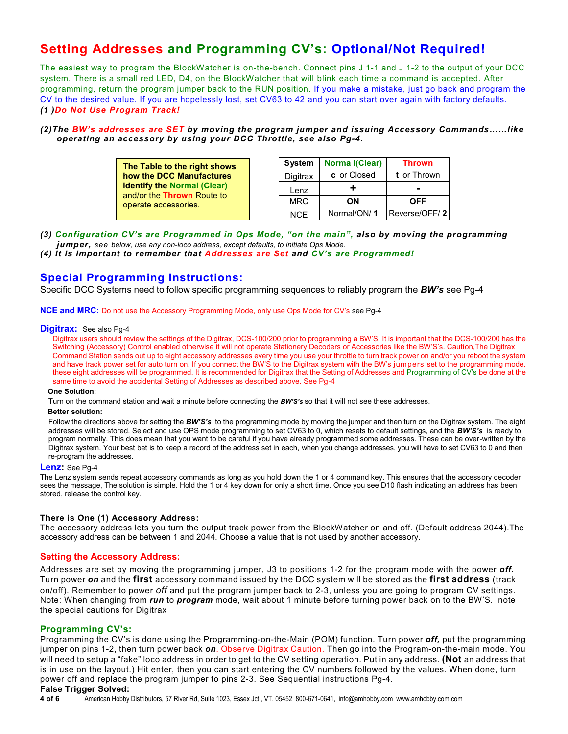# **Setting Addresses and Programming CV's: Optional/Not Required!**

The easiest way to program the BlockWatcher is on-the-bench. Connect pins J 1-1 and J 1-2 to the output of your DCC system. There is a small red LED, D4, on the BlockWatcher that will blink each time a command is accepted. After programming, return the program jumper back to the RUN position. If you make a mistake, just go back and program the CV to the desired value. If you are hopelessly lost, set CV63 to 42 and you can start over again with factory defaults. *(1 )Do Not Use Program Track!*

## *(2)The BW's addresses are SET by moving the program jumper and issuing Accessory Commands……like operating an accessory by using your DCC Throttle, see also Pg-4.*

| The Table to the right shows       |
|------------------------------------|
| how the DCC Manufactures           |
| <b>identify the Normal (Clear)</b> |
| and/or the <b>Thrown</b> Route to  |
| operate accessories.               |
|                                    |

| <b>System</b> | <b>Norma I(Clear)</b> | Thrown        |
|---------------|-----------------------|---------------|
| Digitrax      | c or Closed           | t or Thrown   |
| Lenz          | ٠                     |               |
| <b>MRC</b>    | OΝ                    | OFF           |
| <b>NCF</b>    | Normal/ON/1           | Reverse/OFF/2 |

*(3) Configuration CV's are Programmed in Ops Mode, "on the main", also by moving the programming jumper, see below, use any non-loco address, except defaults, to initiate Ops Mode.*

*(4) It is important to remember that Addresses are Set and CV's are Programmed!*

# **Special Programming Instructions:**

Specific DCC Systems need to follow specific programming sequences to reliably program the *BW's* see Pg-4

**NCE and MRC:** Do not use the Accessory Programming Mode, only use Ops Mode for CV's see Pg-4

#### **Digitrax:** See also Pg-4

Digitrax users should review the settings of the Digitrax, DCS-100/200 prior to programming a BW'S. It is important that the DCS-100/200 has the Switching (Accessory) Control enabled otherwise it will not operate Stationery Decoders or Accessories like the BW'S's. Caution,The Digitrax Command Station sends out up to eight accessory addresses every time you use your throttle to turn track power on and/or you reboot the system and have track power set for auto turn on. If you connect the BW'S to the Digitrax system with the BW's jumpers set to the programming mode, these eight addresses will be programmed. It is recommended for Digitrax that the Setting of Addresses and Programming of CV's be done at the same time to avoid the accidental Setting of Addresses as described above. See Pg-4

#### **One Solution:**

Turn on the command station and wait a minute before connecting the *BW'S's* so that it will not see these addresses.

## **Better solution:**

Follow the directions above for setting the *BW'S's* to the programming mode by moving the jumper and then turn on the Digitrax system. The eight addresses will be stored. Select and use OPS mode programming to set CV63 to 0, which resets to default settings, and the *BW'S's* is ready to program normally. This does mean that you want to be careful if you have already programmed some addresses. These can be over-written by the Digitrax system. Your best bet is to keep a record of the address set in each, when you change addresses, you will have to set CV63 to 0 and then re-program the addresses.

## **Lenz:** See Pg-4

The Lenz system sends repeat accessory commands as long as you hold down the 1 or 4 command key. This ensures that the accessory decoder sees the message, The solution is simple. Hold the 1 or 4 key down for only a short time. Once you see D10 flash indicating an address has been stored, release the control key.

## **There is One (1) Accessory Address:**

The accessory address lets you turn the output track power from the BlockWatcher on and off. (Default address 2044).The accessory address can be between 1 and 2044. Choose a value that is not used by another accessory.

## **Setting the Accessory Address:**

Addresses are set by moving the programming jumper, J3 to positions 1-2 for the program mode with the power *off.* Turn power *on* and the **first** accessory command issued by the DCC system will be stored as the **first address** (track on/off). Remember to power *off* and put the program jumper back to 2-3, unless you are going to program CV settings. Note: When changing from *run* to *program* mode, wait about 1 minute before turning power back on to the BW'S. note the special cautions for Digitrax

## **Programming CV's:**

Programming the CV's is done using the Programming-on-the-Main (POM) function. Turn power *off,* put the programming jumper on pins 1-2, then turn power back *on*. Observe Digitrax Caution. Then go into the Program-on-the-main mode. You will need to setup a "fake" loco address in order to get to the CV setting operation. Put in any address. **(Not** an address that is in use on the layout.) Hit enter, then you can start entering the CV numbers followed by the values. When done, turn power off and replace the program jumper to pins 2-3. See Sequential instructions Pg-4.

# **False Trigger Solved:**

**4 of 6** American Hobby Distributors, 57 River Rd, Suite 1023, Essex Jct., VT. 05452 800-671-0641, info@amhobby.com www.amhobby.com.com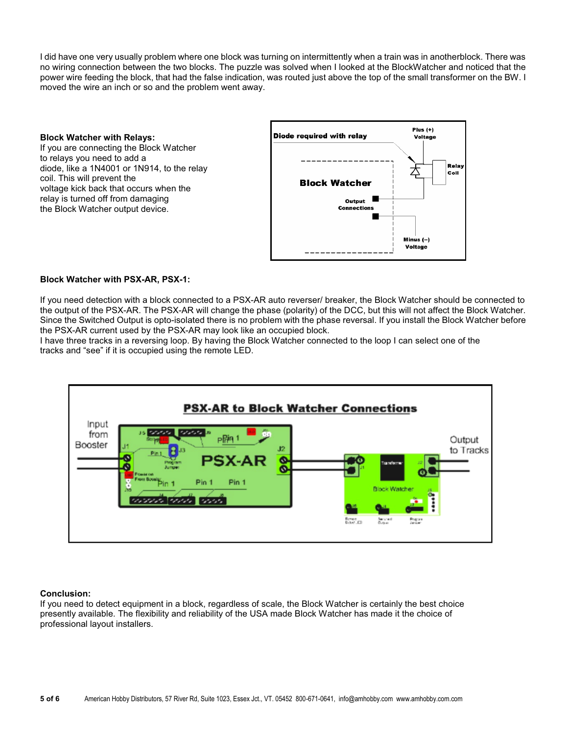I did have one very usually problem where one block was turning on intermittently when a train was in anotherblock. There was no wiring connection between the two blocks. The puzzle was solved when I looked at the BlockWatcher and noticed that the power wire feeding the block, that had the false indication, was routed just above the top of the small transformer on the BW. I moved the wire an inch or so and the problem went away.

**Block Watcher with Relays:** If you are connecting the Block Watcher to relays you need to add a diode, like a 1N4001 or 1N914, to the relay coil. This will prevent the voltage kick back that occurs when the relay is turned off from damaging the Block Watcher output device.



# **Block Watcher with PSX-AR, PSX-1:**

If you need detection with a block connected to a PSX-AR auto reverser/ breaker, the Block Watcher should be connected to the output of the PSX-AR. The PSX-AR will change the phase (polarity) of the DCC, but this will not affect the Block Watcher. Since the Switched Output is opto-isolated there is no problem with the phase reversal. If you install the Block Watcher before the PSX-AR current used by the PSX-AR may look like an occupied block.

I have three tracks in a reversing loop. By having the Block Watcher connected to the loop I can select one of the tracks and "see" if it is occupied using the remote LED.



# **Conclusion:**

If you need to detect equipment in a block, regardless of scale, the Block Watcher is certainly the best choice presently available. The flexibility and reliability of the USA made Block Watcher has made it the choice of professional layout installers.